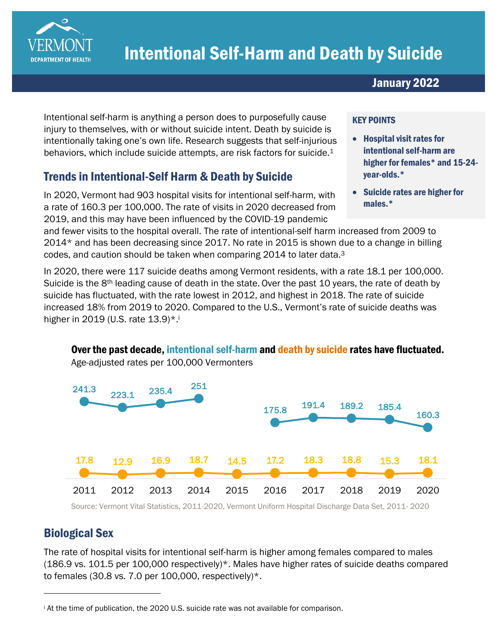

# Intentional Self-Harm and Death by Suicide

January 2022

Intentional self-harm is anything a person does to purposefully cause injury to themselves, with or without suicide intent. Death by suicide is intentionally taking one's own life. Research suggests that self-injurious behaviors, which include suicide attempts, are risk factors for suicide.<sup>1</sup>

# Trends in Intentional-Self Harm & Death by Suicide

In 2020, Vermont had 903 hospital visits for intentional self-harm, with a rate of 160.3 per 100,000. The rate of visits in 2020 decreased from 2019, and this may have been influenced by the COVID-19 pandemic

#### KEY POINTS

- Hospital visit rates for intentional self-harm are higher for females\* and 15-24 year-olds.\*
- Suicide rates are higher for males.\*

and fewer visits to the hospital overall. The rate of intentional-self harm increased from 2009 to 2014\* and has been decreasing since 2017. No rate in 2015 is shown due to a change in billing codes, and caution should be taken when comparing 2014 to later data.<sup>3</sup>

In 2020, there were 117 suicide deaths among Vermont residents, with a rate 18.1 per 100,000. Suicide is the  $8<sup>th</sup>$  leading cause of death in the state. Over the past 10 years, the rate of death by suicide has fluctuated, with the rate lowest in 2012, and highest in 2018. The rate of suicide increased 18% from 2019 to 2020. Compared to the U.S., Vermont's rate of suicide deaths was higher in 2019 (U.S. rate 13.9)\*.



Over the past decade, intentional self-harm and death by suicide rates have fluctuated. Age-adjusted rates per 100,000 Vermonters

Source: Vermont Vital Statistics, 2011-2020, Vermont Uniform Hospital Discharge Data Set, 2011- 2020

## Biological Sex

The rate of hospital visits for intentional self-harm is higher among females compared to males (186.9 vs. 101.5 per 100,000 respectively)\*. Males have higher rates of suicide deaths compared to females (30.8 vs. 7.0 per 100,000, respectively) $*$ .

<sup>i</sup> At the time of publication, the 2020 U.S. suicide rate was not available for comparison.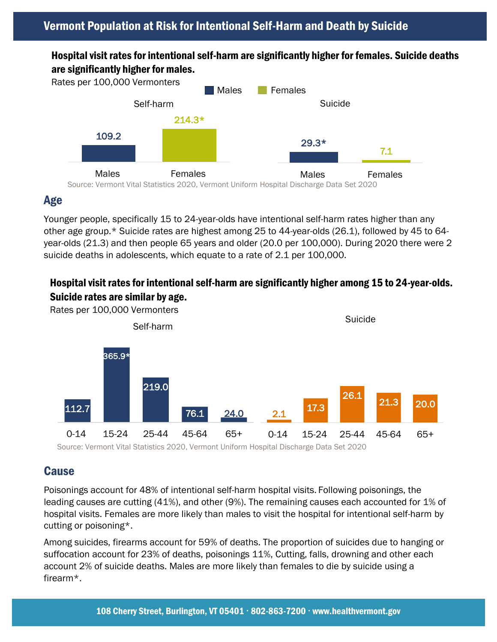#### Hospital visit rates for intentional self-harm are significantly higher for females. Suicide deaths are significantly higher for males.



## Age

Younger people, specifically 15 to 24-year-olds have intentional self-harm rates higher than any other age group.\* Suicide rates are highest among 25 to 44-year-olds (26.1), followed by 45 to 64 year-olds (21.3) and then people 65 years and older (20.0 per 100,000). During 2020 there were 2 suicide deaths in adolescents, which equate to a rate of 2.1 per 100,000.

#### Hospital visit rates for intentional self-harm are significantly higher among 15 to 24-year-olds. Suicide rates are similar by age.



Source: Vermont Vital Statistics 2020, Vermont Uniform Hospital Discharge Data Set 2020

# Cause

Poisonings account for 48% of intentional self-harm hospital visits. Following poisonings, the leading causes are cutting (41%), and other (9%). The remaining causes each accounted for 1% of hospital visits. Females are more likely than males to visit the hospital for intentional self-harm by cutting or poisoning\*.

Among suicides, firearms account for 59% of deaths. The proportion of suicides due to hanging or suffocation account for 23% of deaths, poisonings 11%, Cutting, falls, drowning and other each account 2% of suicide deaths. Males are more likely than females to die by suicide using a firearm\*.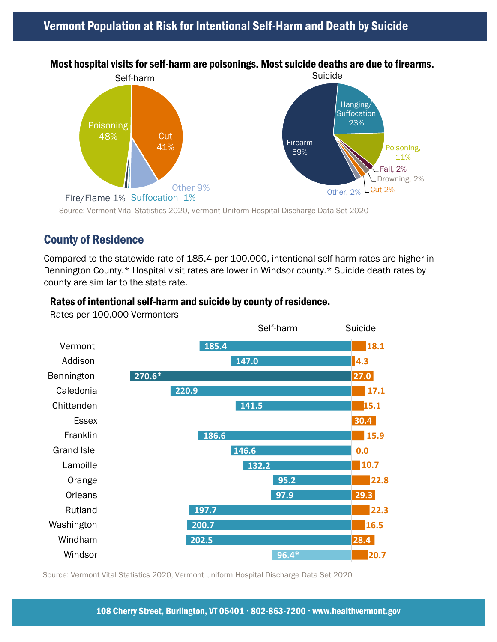## Vermont Population at Risk for Intentional Self-Harm and Death by Suicide



#### Most hospital visits for self-harm are poisonings. Most suicide deaths are due to firearms.

Source: Vermont Vital Statistics 2020, Vermont Uniform Hospital Discharge Data Set 2020

#### County of Residence

Compared to the statewide rate of 185.4 per 100,000, intentional self-harm rates are higher in Bennington County.\* Hospital visit rates are lower in Windsor county.\* Suicide death rates by county are similar to the state rate.

#### Rates of intentional self-harm and suicide by county of residence.

**20.7 28.4 16.5 22.3 29.3 22.8 10.7 0.0 15.9 30.4 15.1 17.1 27.0 4.3 18.1 96.4\* 202.5 200.7 197.7 97.9 95.2 132.2 146.6 186.6 141.5 220.9 270.6\* 147.0 185.4** Windsor Windham Washington Rutland **Orleans** Orange Lamoille Grand Isle Franklin **Essex Chittenden** Caledonia Bennington Addison Vermont Self-harm Suicide

Rates per 100,000 Vermonters

Source: Vermont Vital Statistics 2020, Vermont Uniform Hospital Discharge Data Set 2020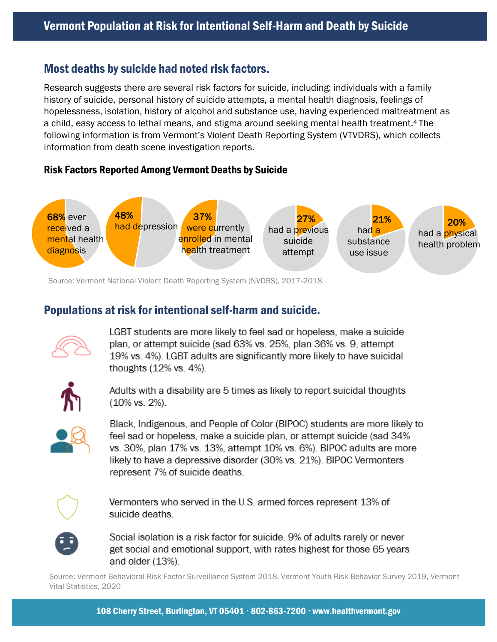#### Most deaths by suicide had noted risk factors.

Research suggests there are several risk factors for suicide, including: individuals with a family history of suicide, personal history of suicide attempts, a mental health diagnosis, feelings of hopelessness, isolation, history of alcohol and substance use, having experienced maltreatment as a child, easy access to lethal means, and stigma around seeking mental health treatment. <sup>4</sup> The following information is from Vermont's Violent Death Reporting System (VTVDRS), which collects information from death scene investigation reports.

#### Risk Factors Reported Among Vermont Deaths by Suicide



Source: Vermont National Violent Death Reporting System (NVDRS), 2017-2018

# Populations at risk for intentional self-harm and suicide.



LGBT students are more likely to feel sad or hopeless, make a suicide plan, or attempt suicide (sad 63% vs. 25%, plan 36% vs. 9, attempt 19% vs. 4%). LGBT adults are significantly more likely to have suicidal thoughts (12% vs. 4%).



Adults with a disability are 5 times as likely to report suicidal thoughts  $(10\%$  vs.  $2\%$ ).



Black, Indigenous, and People of Color (BIPOC) students are more likely to feel sad or hopeless, make a suicide plan, or attempt suicide (sad 34% vs. 30%, plan 17% vs. 13%, attempt 10% vs. 6%). BIPOC adults are more likely to have a depressive disorder (30% vs. 21%). BIPOC Vermonters represent 7% of suicide deaths.



Vermonters who served in the U.S. armed forces represent 13% of suicide deaths



Social isolation is a risk factor for suicide. 9% of adults rarely or never get social and emotional support, with rates highest for those 65 years and older (13%).

Source: Vermont Behavioral Risk Factor Surveillance System 2018, Vermont Youth Risk Behavior Survey 2019, Vermont Vital Statistics, 2020